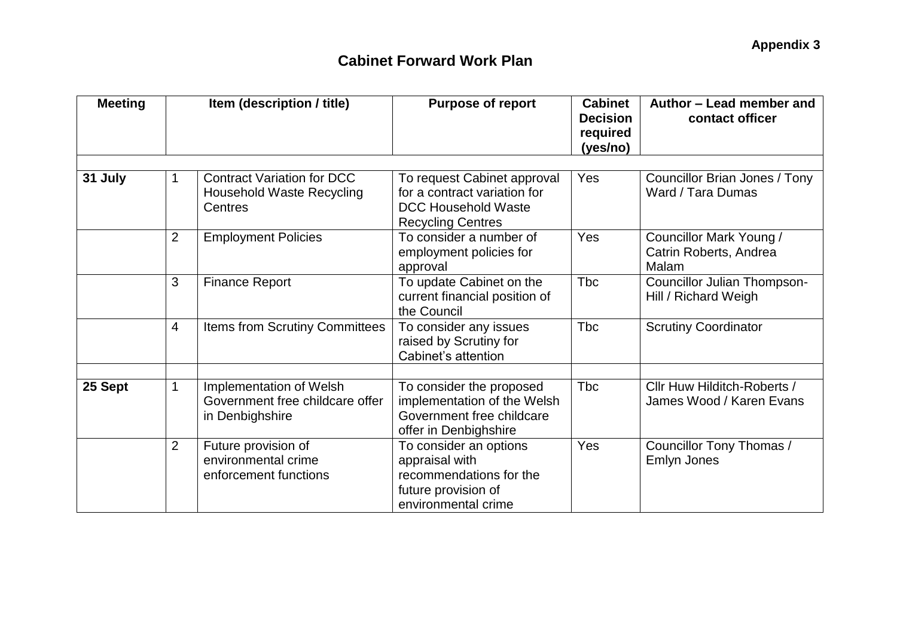| <b>Meeting</b> | Item (description / title) |                                                                                  | <b>Purpose of report</b>                                                                                              | <b>Cabinet</b><br><b>Decision</b><br>required<br>(yes/no) | Author - Lead member and<br>contact officer                |  |
|----------------|----------------------------|----------------------------------------------------------------------------------|-----------------------------------------------------------------------------------------------------------------------|-----------------------------------------------------------|------------------------------------------------------------|--|
|                |                            |                                                                                  |                                                                                                                       |                                                           |                                                            |  |
| 31 July        | 1                          | <b>Contract Variation for DCC</b><br><b>Household Waste Recycling</b><br>Centres | To request Cabinet approval<br>for a contract variation for<br><b>DCC Household Waste</b><br><b>Recycling Centres</b> | Yes                                                       | Councillor Brian Jones / Tony<br>Ward / Tara Dumas         |  |
|                | $\overline{2}$             | <b>Employment Policies</b>                                                       | To consider a number of<br>employment policies for<br>approval                                                        | Yes                                                       | Councillor Mark Young /<br>Catrin Roberts, Andrea<br>Malam |  |
|                | 3                          | <b>Finance Report</b>                                                            | To update Cabinet on the<br>current financial position of<br>the Council                                              | Tbc                                                       | <b>Councillor Julian Thompson-</b><br>Hill / Richard Weigh |  |
|                | $\overline{4}$             | Items from Scrutiny Committees                                                   | To consider any issues<br>raised by Scrutiny for<br>Cabinet's attention                                               | <b>Tbc</b>                                                | <b>Scrutiny Coordinator</b>                                |  |
|                |                            |                                                                                  |                                                                                                                       |                                                           |                                                            |  |
| 25 Sept<br>1   |                            | Implementation of Welsh<br>Government free childcare offer<br>in Denbighshire    | To consider the proposed<br>implementation of the Welsh<br>Government free childcare<br>offer in Denbighshire         | <b>Tbc</b>                                                | Cllr Huw Hilditch-Roberts /<br>James Wood / Karen Evans    |  |
|                | $\overline{2}$             | Future provision of<br>environmental crime<br>enforcement functions              | To consider an options<br>appraisal with<br>recommendations for the<br>future provision of<br>environmental crime     | <b>Yes</b>                                                | Councillor Tony Thomas /<br>Emlyn Jones                    |  |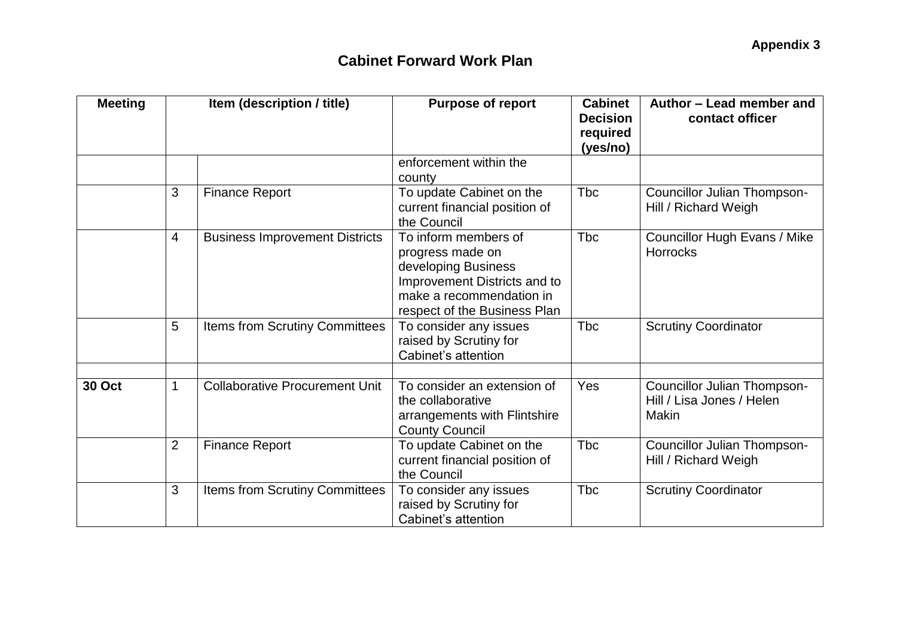| <b>Meeting</b> | Item (description / title) |                                       | <b>Purpose of report</b>                                                                                                                                    | <b>Cabinet</b><br><b>Decision</b><br>required<br>(yes/no) | Author - Lead member and<br>contact officer                              |
|----------------|----------------------------|---------------------------------------|-------------------------------------------------------------------------------------------------------------------------------------------------------------|-----------------------------------------------------------|--------------------------------------------------------------------------|
|                |                            |                                       | enforcement within the<br>county                                                                                                                            |                                                           |                                                                          |
|                | 3                          | <b>Finance Report</b>                 | To update Cabinet on the<br>current financial position of<br>the Council                                                                                    | <b>T</b> bc                                               | Councillor Julian Thompson-<br>Hill / Richard Weigh                      |
|                | $\overline{4}$             | <b>Business Improvement Districts</b> | To inform members of<br>progress made on<br>developing Business<br>Improvement Districts and to<br>make a recommendation in<br>respect of the Business Plan | <b>Tbc</b>                                                | <b>Councillor Hugh Evans / Mike</b><br><b>Horrocks</b>                   |
|                | 5                          | Items from Scrutiny Committees        | To consider any issues<br>raised by Scrutiny for<br>Cabinet's attention                                                                                     | <b>Tbc</b>                                                | <b>Scrutiny Coordinator</b>                                              |
| <b>30 Oct</b>  | 1                          | <b>Collaborative Procurement Unit</b> | To consider an extension of<br>the collaborative<br>arrangements with Flintshire<br><b>County Council</b>                                                   | Yes                                                       | Councillor Julian Thompson-<br>Hill / Lisa Jones / Helen<br><b>Makin</b> |
|                | $\overline{2}$             | <b>Finance Report</b>                 | To update Cabinet on the<br>current financial position of<br>the Council                                                                                    | Tbc                                                       | Councillor Julian Thompson-<br>Hill / Richard Weigh                      |
|                | 3                          | <b>Items from Scrutiny Committees</b> | To consider any issues<br>raised by Scrutiny for<br>Cabinet's attention                                                                                     | <b>T</b> bc                                               | <b>Scrutiny Coordinator</b>                                              |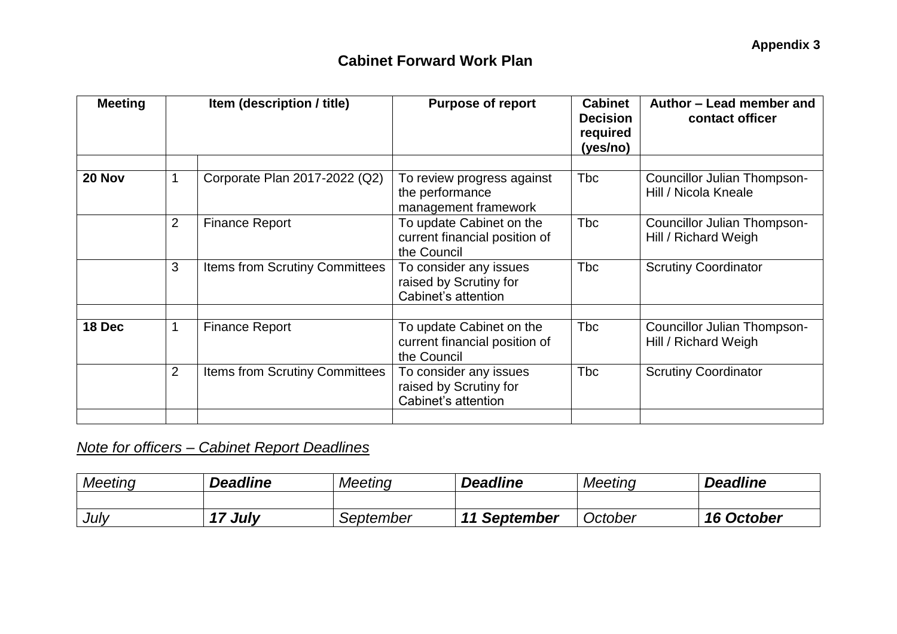| <b>Meeting</b> | Item (description / title) |                                       | <b>Purpose of report</b>                                                 | <b>Cabinet</b><br><b>Decision</b><br>required<br>(yes/no) | Author - Lead member and<br>contact officer         |
|----------------|----------------------------|---------------------------------------|--------------------------------------------------------------------------|-----------------------------------------------------------|-----------------------------------------------------|
|                |                            |                                       |                                                                          |                                                           |                                                     |
| 20 Nov         |                            | Corporate Plan 2017-2022 (Q2)         | To review progress against<br>the performance<br>management framework    | <b>Tbc</b>                                                | Councillor Julian Thompson-<br>Hill / Nicola Kneale |
|                | $\overline{2}$             | <b>Finance Report</b>                 | To update Cabinet on the<br>current financial position of<br>the Council | <b>Tbc</b>                                                | Councillor Julian Thompson-<br>Hill / Richard Weigh |
|                | 3                          | Items from Scrutiny Committees        | To consider any issues<br>raised by Scrutiny for<br>Cabinet's attention  | <b>Tbc</b>                                                | <b>Scrutiny Coordinator</b>                         |
|                |                            |                                       |                                                                          |                                                           |                                                     |
| 18 Dec         |                            | <b>Finance Report</b>                 | To update Cabinet on the<br>current financial position of<br>the Council | <b>Tbc</b>                                                | Councillor Julian Thompson-<br>Hill / Richard Weigh |
|                | $\overline{2}$             | <b>Items from Scrutiny Committees</b> | To consider any issues<br>raised by Scrutiny for<br>Cabinet's attention  | <b>Tbc</b>                                                | <b>Scrutiny Coordinator</b>                         |
|                |                            |                                       |                                                                          |                                                           |                                                     |

# *Note for officers – Cabinet Report Deadlines*

| <b>Meeting</b> | <b>Deadline</b>   | Meeting   | <b>Deadline</b> | <b>Meeting</b> | <b>Deadline</b>   |
|----------------|-------------------|-----------|-----------------|----------------|-------------------|
|                |                   |           |                 |                |                   |
| July           | July<br><b>47</b> | September | 11 September    | October        | <b>16 October</b> |